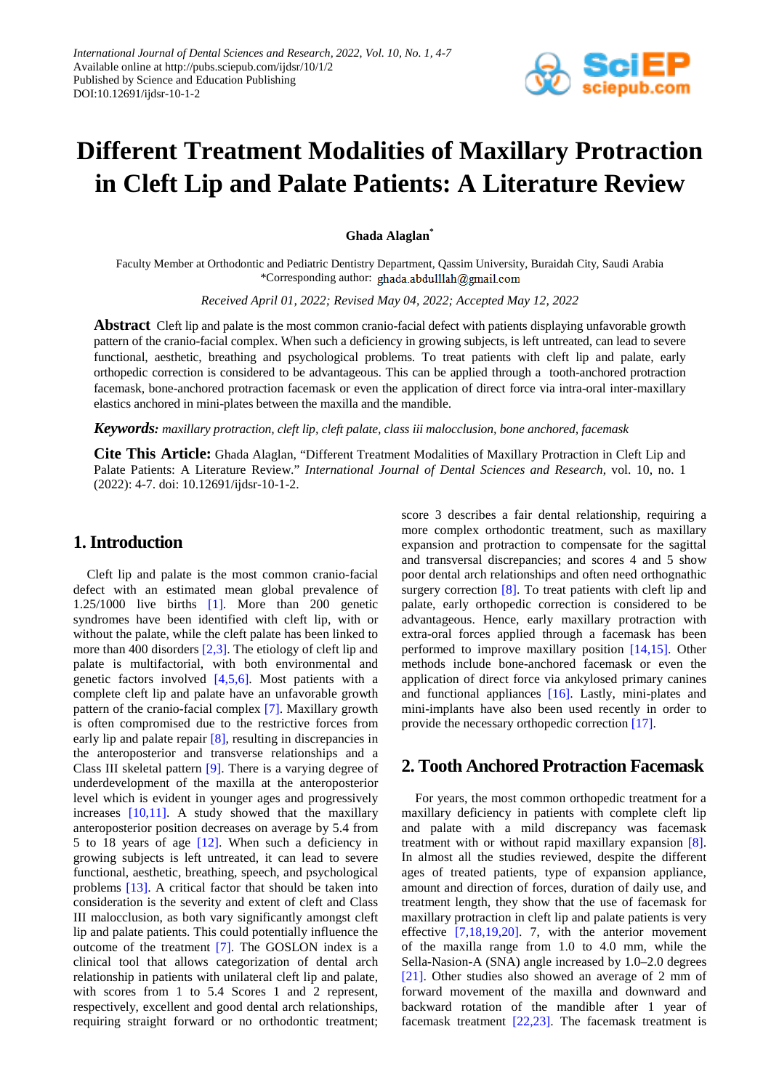

# **Different Treatment Modalities of Maxillary Protraction in Cleft Lip and Palate Patients: A Literature Review**

#### **Ghada Alaglan\***

Faculty Member at Orthodontic and Pediatric Dentistry Department, Qassim University, Buraidah City, Saudi Arabia \*Corresponding author: ghada.abdulllah@gmail.com

*Received April 01, 2022; Revised May 04, 2022; Accepted May 12, 2022*

**Abstract** Cleft lip and palate is the most common cranio-facial defect with patients displaying unfavorable growth pattern of the cranio-facial complex. When such a deficiency in growing subjects, is left untreated, can lead to severe functional, aesthetic, breathing and psychological problems. To treat patients with cleft lip and palate, early orthopedic correction is considered to be advantageous. This can be applied through a tooth-anchored protraction facemask, bone-anchored protraction facemask or even the application of direct force via intra-oral inter-maxillary elastics anchored in mini-plates between the maxilla and the mandible.

*Keywords: maxillary protraction, cleft lip, cleft palate, class iii malocclusion, bone anchored, facemask*

**Cite This Article:** Ghada Alaglan, "Different Treatment Modalities of Maxillary Protraction in Cleft Lip and Palate Patients: A Literature Review." *International Journal of Dental Sciences and Research*, vol. 10, no. 1 (2022): 4-7. doi: 10.12691/ijdsr-10-1-2.

#### **1. Introduction**

Cleft lip and palate is the most common cranio-facial defect with an estimated mean global prevalence of 1.25/1000 live births [\[1\].](#page-2-0) More than 200 genetic syndromes have been identified with cleft lip, with or without the palate, while the cleft palate has been linked to more than 400 disorders [\[2,3\].](#page-2-1) The etiology of cleft lip and palate is multifactorial, with both environmental and genetic factors involved  $[4,5,6]$ . Most patients with a complete cleft lip and palate have an unfavorable growth pattern of the cranio-facial complex [\[7\].](#page-2-3) Maxillary growth is often compromised due to the restrictive forces from early lip and palate repair  $[8]$ , resulting in discrepancies in the anteroposterior and transverse relationships and a Class III skeletal pattern [\[9\].](#page-2-5) There is a varying degree of underdevelopment of the maxilla at the anteroposterior level which is evident in younger ages and progressively increases  $[10,11]$ . A study showed that the maxillary anteroposterior position decreases on average by 5.4 from 5 to 18 years of age [\[12\].](#page-2-7) When such a deficiency in growing subjects is left untreated, it can lead to severe functional, aesthetic, breathing, speech, and psychological problems [\[13\].](#page-2-8) A critical factor that should be taken into consideration is the severity and extent of cleft and Class III malocclusion, as both vary significantly amongst cleft lip and palate patients. This could potentially influence the outcome of the treatment [\[7\].](#page-2-3) The GOSLON index is a clinical tool that allows categorization of dental arch relationship in patients with unilateral cleft lip and palate, with scores from 1 to 5.4 Scores 1 and 2 represent, respectively, excellent and good dental arch relationships, requiring straight forward or no orthodontic treatment; score 3 describes a fair dental relationship, requiring a more complex orthodontic treatment, such as maxillary expansion and protraction to compensate for the sagittal and transversal discrepancies; and scores 4 and 5 show poor dental arch relationships and often need orthognathic surgery correction [\[8\].](#page-2-4) To treat patients with cleft lip and palate, early orthopedic correction is considered to be advantageous. Hence, early maxillary protraction with extra-oral forces applied through a facemask has been performed to improve maxillary position [\[14,15\].](#page-2-9) Other methods include bone-anchored facemask or even the application of direct force via ankylosed primary canines and functional appliances [\[16\].](#page-2-10) Lastly, mini-plates and mini-implants have also been used recently in order to provide the necessary orthopedic correctio[n \[17\].](#page-2-11)

## **2. Tooth Anchored Protraction Facemask**

For years, the most common orthopedic treatment for a maxillary deficiency in patients with complete cleft lip and palate with a mild discrepancy was facemask treatment with or without rapid maxillary expansion [\[8\].](#page-2-4) In almost all the studies reviewed, despite the different ages of treated patients, type of expansion appliance, amount and direction of forces, duration of daily use, and treatment length, they show that the use of facemask for maxillary protraction in cleft lip and palate patients is very effective [\[7,18,19,20\].](#page-2-3) 7, with the anterior movement of the maxilla range from 1.0 to 4.0 mm, while the Sella-Nasion-A (SNA) angle increased by 1.0–2.0 degrees [\[21\].](#page-2-12) Other studies also showed an average of 2 mm of forward movement of the maxilla and downward and backward rotation of the mandible after 1 year of facemask treatment [\[22,23\].](#page-2-13) The facemask treatment is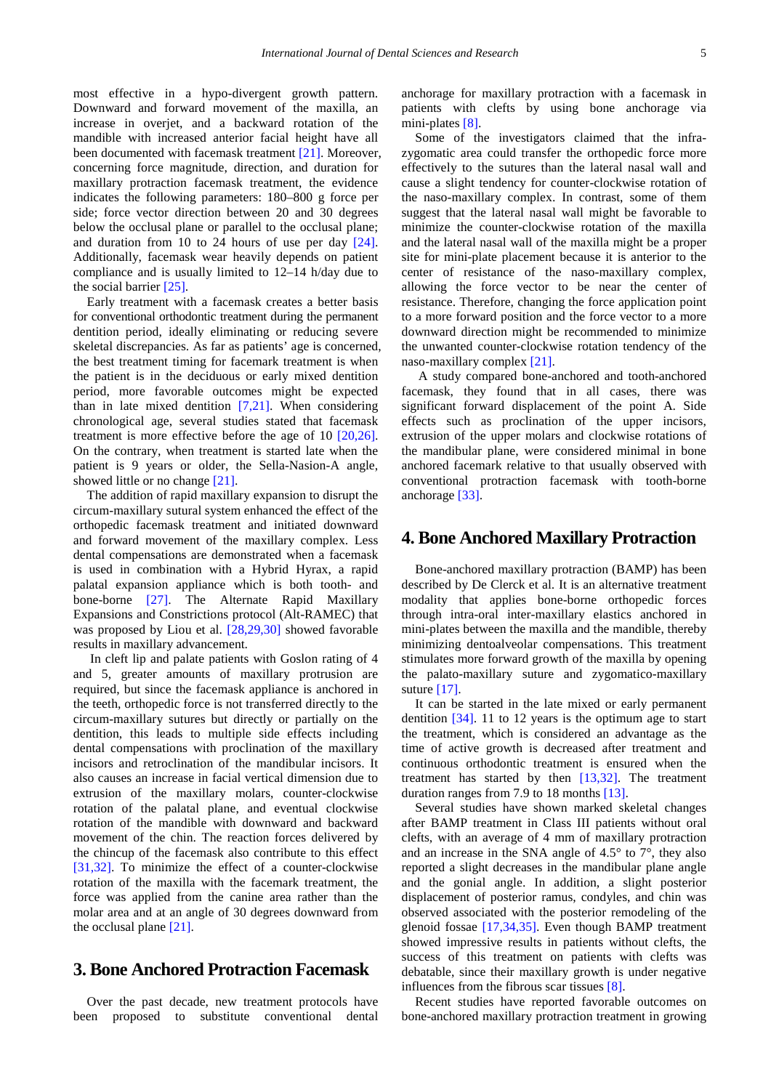most effective in a hypo-divergent growth pattern. Downward and forward movement of the maxilla, an increase in overjet, and a backward rotation of the mandible with increased anterior facial height have all been documented with facemask treatment [\[21\].](#page-2-12) Moreover, concerning force magnitude, direction, and duration for maxillary protraction facemask treatment, the evidence indicates the following parameters: 180–800 g force per side; force vector direction between 20 and 30 degrees below the occlusal plane or parallel to the occlusal plane; and duration from 10 to 24 hours of use per day [\[24\].](#page-2-14) Additionally, facemask wear heavily depends on patient compliance and is usually limited to 12–14 h/day due to the social barrier [\[25\].](#page-2-15)

Early treatment with a facemask creates a better basis for conventional orthodontic treatment during the permanent dentition period, ideally eliminating or reducing severe skeletal discrepancies. As far as patients' age is concerned, the best treatment timing for facemark treatment is when the patient is in the deciduous or early mixed dentition period, more favorable outcomes might be expected than in late mixed dentition [\[7,21\].](#page-2-3) When considering chronological age, several studies stated that facemask treatment is more effective before the age of 10 [\[20,26\].](#page-2-16) On the contrary, when treatment is started late when the patient is 9 years or older, the Sella-Nasion-A angle, showed little or no change [\[21\].](#page-2-12)

The addition of rapid maxillary expansion to disrupt the circum-maxillary sutural system enhanced the effect of the orthopedic facemask treatment and initiated downward and forward movement of the maxillary complex. Less dental compensations are demonstrated when a facemask is used in combination with a Hybrid Hyrax, a rapid palatal expansion appliance which is both tooth- and bone-borne [\[27\].](#page-3-0) The Alternate Rapid Maxillary Expansions and Constrictions protocol (Alt-RAMEC) that was proposed by Liou et al. [\[28,29,30\]](#page-3-1) showed favorable results in maxillary advancement.

In cleft lip and palate patients with Goslon rating of 4 and 5, greater amounts of maxillary protrusion are required, but since the facemask appliance is anchored in the teeth, orthopedic force is not transferred directly to the circum-maxillary sutures but directly or partially on the dentition, this leads to multiple side effects including dental compensations with proclination of the maxillary incisors and retroclination of the mandibular incisors. It also causes an increase in facial vertical dimension due to extrusion of the maxillary molars, counter-clockwise rotation of the palatal plane, and eventual clockwise rotation of the mandible with downward and backward movement of the chin. The reaction forces delivered by the chincup of the facemask also contribute to this effect [\[31,32\].](#page-3-2) To minimize the effect of a counter-clockwise rotation of the maxilla with the facemark treatment, the force was applied from the canine area rather than the molar area and at an angle of 30 degrees downward from the occlusal plane [\[21\].](#page-2-12)

### **3. Bone Anchored Protraction Facemask**

Over the past decade, new treatment protocols have been proposed to substitute conventional dental anchorage for maxillary protraction with a facemask in patients with clefts by using bone anchorage via mini-plate[s \[8\].](#page-2-4) 

Some of the investigators claimed that the infrazygomatic area could transfer the orthopedic force more effectively to the sutures than the lateral nasal wall and cause a slight tendency for counter-clockwise rotation of the naso-maxillary complex. In contrast, some of them suggest that the lateral nasal wall might be favorable to minimize the counter-clockwise rotation of the maxilla and the lateral nasal wall of the maxilla might be a proper site for mini-plate placement because it is anterior to the center of resistance of the naso-maxillary complex, allowing the force vector to be near the center of resistance. Therefore, changing the force application point to a more forward position and the force vector to a more downward direction might be recommended to minimize the unwanted counter-clockwise rotation tendency of the naso-maxillary comple[x \[21\].](#page-2-12)

A study compared bone-anchored and tooth-anchored facemask, they found that in all cases, there was significant forward displacement of the point A. Side effects such as proclination of the upper incisors, extrusion of the upper molars and clockwise rotations of the mandibular plane, were considered minimal in bone anchored facemark relative to that usually observed with conventional protraction facemask with tooth-borne anchorage [\[33\].](#page-3-3) 

#### **4. Bone Anchored Maxillary Protraction**

Bone-anchored maxillary protraction (BAMP) has been described by De Clerck et al. It is an alternative treatment modality that applies bone-borne orthopedic forces through intra-oral inter-maxillary elastics anchored in mini-plates between the maxilla and the mandible, thereby minimizing dentoalveolar compensations. This treatment stimulates more forward growth of the maxilla by opening the palato-maxillary suture and zygomatico-maxillary suture [\[17\].](#page-2-11)

It can be started in the late mixed or early permanent dentition [\[34\].](#page-3-4) 11 to 12 years is the optimum age to start the treatment, which is considered an advantage as the time of active growth is decreased after treatment and continuous orthodontic treatment is ensured when the treatment has started by then [\[13,32\].](#page-2-8) The treatment duration ranges from 7.9 to 18 months [\[13\].](#page-2-8)

Several studies have shown marked skeletal changes after BAMP treatment in Class III patients without oral clefts, with an average of 4 mm of maxillary protraction and an increase in the SNA angle of 4.5° to 7°, they also reported a slight decreases in the mandibular plane angle and the gonial angle. In addition, a slight posterior displacement of posterior ramus, condyles, and chin was observed associated with the posterior remodeling of the glenoid fossae [\[17,34,35\].](#page-2-11) Even though BAMP treatment showed impressive results in patients without clefts, the success of this treatment on patients with clefts was debatable, since their maxillary growth is under negative influences from the fibrous scar tissues [\[8\].](#page-2-4)

Recent studies have reported favorable outcomes on bone-anchored maxillary protraction treatment in growing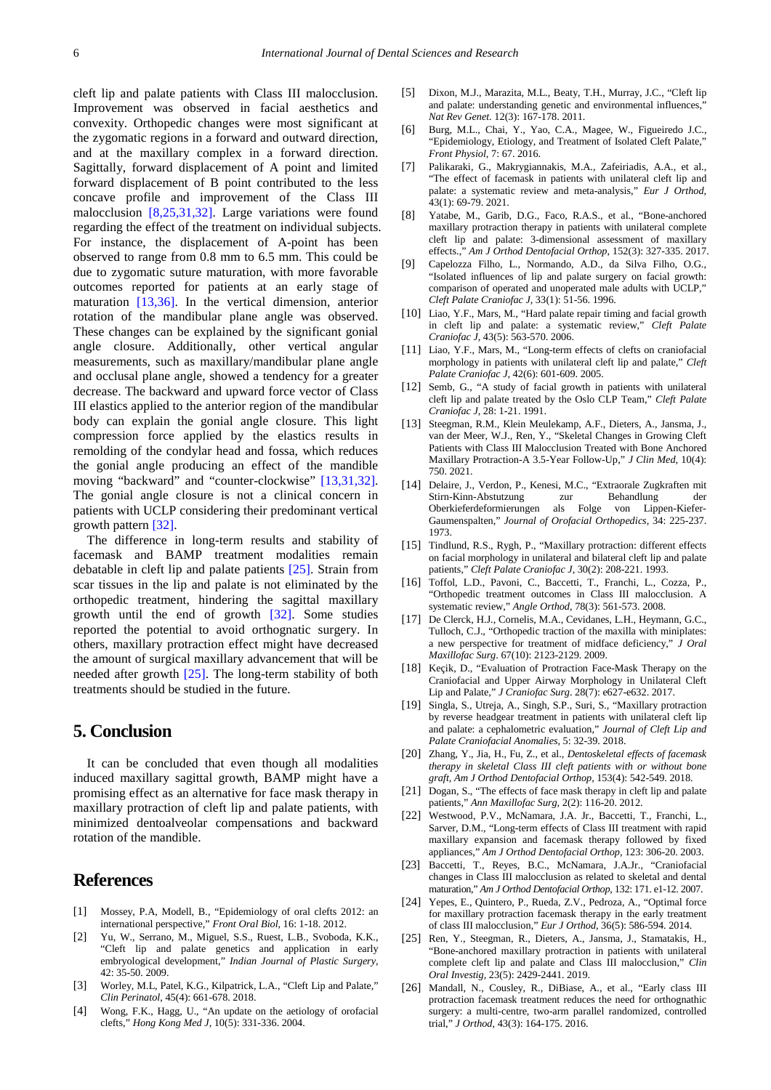cleft lip and palate patients with Class III malocclusion. Improvement was observed in facial aesthetics and convexity. Orthopedic changes were most significant at the zygomatic regions in a forward and outward direction, and at the maxillary complex in a forward direction. Sagittally, forward displacement of A point and limited forward displacement of B point contributed to the less concave profile and improvement of the Class III malocclusion [\[8,25,31,32\].](#page-2-4) Large variations were found regarding the effect of the treatment on individual subjects. For instance, the displacement of A-point has been observed to range from 0.8 mm to 6.5 mm. This could be due to zygomatic suture maturation, with more favorable outcomes reported for patients at an early stage of maturation [\[13,36\].](#page-2-8) In the vertical dimension, anterior rotation of the mandibular plane angle was observed. These changes can be explained by the significant gonial angle closure. Additionally, other vertical angular measurements, such as maxillary/mandibular plane angle and occlusal plane angle, showed a tendency for a greater decrease. The backward and upward force vector of Class III elastics applied to the anterior region of the mandibular body can explain the gonial angle closure. This light compression force applied by the elastics results in remolding of the condylar head and fossa, which reduces the gonial angle producing an effect of the mandible moving "backward" and "counter-clockwise" [\[13,31,32\].](#page-2-8) The gonial angle closure is not a clinical concern in patients with UCLP considering their predominant vertical growth pattern [\[32\].](#page-3-5)

The difference in long-term results and stability of facemask and BAMP treatment modalities remain debatable in cleft lip and palate patients [\[25\].](#page-2-15) Strain from scar tissues in the lip and palate is not eliminated by the orthopedic treatment, hindering the sagittal maxillary growth until the end of growth [\[32\].](#page-3-5) Some studies reported the potential to avoid orthognatic surgery. In others, maxillary protraction effect might have decreased the amount of surgical maxillary advancement that will be needed after growth [\[25\].](#page-2-15) The long-term stability of both treatments should be studied in the future.

### **5. Conclusion**

It can be concluded that even though all modalities induced maxillary sagittal growth, BAMP might have a promising effect as an alternative for face mask therapy in maxillary protraction of cleft lip and palate patients, with minimized dentoalveolar compensations and backward rotation of the mandible.

### **References**

- <span id="page-2-0"></span>[1] Mossey, P.A, Modell, B., "Epidemiology of oral clefts 2012: an international perspective," *Front Oral Biol,* 16: 1-18. 2012.
- <span id="page-2-1"></span>[2] Yu, W., Serrano, M., Miguel, S.S., Ruest, L.B., Svoboda, K.K., "Cleft lip and palate genetics and application in early embryological development," *Indian Journal of Plastic Surgery,*  42: 35-50. 2009.
- [3] Worley, M.L, Patel, K.G., Kilpatrick, L.A., "Cleft Lip and Palate," *Clin Perinatol,* 45(4): 661-678. 2018.
- <span id="page-2-2"></span>[4] Wong, F.K., Hagg, U., "An update on the aetiology of orofacial clefts," *Hong Kong Med J,* 10(5): 331-336. 2004.
- [5] Dixon, M.J., Marazita, M.L., Beaty, T.H., Murray, J.C., "Cleft lip and palate: understanding genetic and environmental influences," *Nat Rev Genet*. 12(3): 167-178. 2011.
- [6] Burg, M.L., Chai, Y., Yao, C.A., Magee, W., Figueiredo J.C., "Epidemiology, Etiology, and Treatment of Isolated Cleft Palate," *Front Physiol,* 7: 67. 2016.
- <span id="page-2-3"></span>[7] Palikaraki, G., Makrygiannakis, M.A., Zafeiriadis, A.A., et al., "The effect of facemask in patients with unilateral cleft lip and palate: a systematic review and meta-analysis," *Eur J Orthod,* 43(1): 69-79. 2021.
- <span id="page-2-4"></span>[8] Yatabe, M., Garib, D.G., Faco, R.A.S., et al., "Bone-anchored maxillary protraction therapy in patients with unilateral complete cleft lip and palate: 3-dimensional assessment of maxillary effects.," *Am J Orthod Dentofacial Orthop,* 152(3): 327-335. 2017.
- <span id="page-2-5"></span>[9] Capelozza Filho, L., Normando, A.D., da Silva Filho, O.G., "Isolated influences of lip and palate surgery on facial growth: comparison of operated and unoperated male adults with UCLP," *Cleft Palate Craniofac J,* 33(1): 51-56. 1996.
- <span id="page-2-6"></span>[10] Liao, Y.F., Mars, M., "Hard palate repair timing and facial growth in cleft lip and palate: a systematic review," *Cleft Palate Craniofac J,* 43(5): 563-570. 2006.
- [11] Liao, Y.F., Mars, M., "Long-term effects of clefts on craniofacial morphology in patients with unilateral cleft lip and palate," *Cleft Palate Craniofac J,* 42(6): 601-609. 2005.
- <span id="page-2-7"></span>[12] Semb, G., "A study of facial growth in patients with unilateral cleft lip and palate treated by the Oslo CLP Team," *Cleft Palate Craniofac J,* 28: 1-21. 1991.
- <span id="page-2-8"></span>[13] Steegman, R.M., Klein Meulekamp, A.F., Dieters, A., Jansma, J., van der Meer, W.J., Ren, Y., "Skeletal Changes in Growing Cleft Patients with Class III Malocclusion Treated with Bone Anchored Maxillary Protraction-A 3.5-Year Follow-Up," *J Clin Med*, 10(4): 750. 2021.
- <span id="page-2-9"></span>[14] Delaire, J., Verdon, P., Kenesi, M.C., "Extraorale Zugkraften mit Stirn-Kinn-Abstutzung zur Behandlung der Oberkieferdeformierungen als Folge von Lippen-Kiefer-Gaumenspalten," *Journal of Orofacial Orthopedics,* 34: 225-237. 1973.
- [15] Tindlund, R.S., Rygh, P., "Maxillary protraction: different effects on facial morphology in unilateral and bilateral cleft lip and palate patients," *Cleft Palate Craniofac J,* 30(2): 208-221. 1993.
- <span id="page-2-10"></span>[16] Toffol, L.D., Pavoni, C., Baccetti, T., Franchi, L., Cozza, P., "Orthopedic treatment outcomes in Class III malocclusion. A systematic review," *Angle Orthod,* 78(3): 561-573. 2008.
- <span id="page-2-11"></span>[17] De Clerck, H.J., Cornelis, M.A., Cevidanes, L.H., Heymann, G.C., Tulloch, C.J., "Orthopedic traction of the maxilla with miniplates: a new perspective for treatment of midface deficiency," *J Oral Maxillofac Surg*. 67(10): 2123-2129. 2009.
- [18] Keçik, D., "Evaluation of Protraction Face-Mask Therapy on the Craniofacial and Upper Airway Morphology in Unilateral Cleft Lip and Palate," *J Craniofac Surg*. 28(7): e627-e632. 2017.
- [19] Singla, S., Utreja, A., Singh, S.P., Suri, S., "Maxillary protraction by reverse headgear treatment in patients with unilateral cleft lip and palate: a cephalometric evaluation," *Journal of Cleft Lip and Palate Craniofacial Anomalies,* 5: 32-39. 2018.
- <span id="page-2-16"></span>[20] Zhang, Y., Jia, H., Fu, Z., et al., *Dentoskeletal effects of facemask therapy in skeletal Class III cleft patients with or without bone graft, Am J Orthod Dentofacial Orthop,* 153(4): 542-549. 2018.
- <span id="page-2-12"></span>[21] Dogan, S., "The effects of face mask therapy in cleft lip and palate patients," *Ann Maxillofac Surg,* 2(2): 116-20. 2012.
- <span id="page-2-13"></span>[22] Westwood, P.V., McNamara, J.A. Jr., Baccetti, T., Franchi, L., Sarver, D.M., "Long-term effects of Class III treatment with rapid maxillary expansion and facemask therapy followed by fixed appliances," *Am J Orthod Dentofacial Orthop,* 123: 306-20. 2003.
- [23] Baccetti, T., Reyes, B.C., McNamara, J.A.Jr., "Craniofacial changes in Class III malocclusion as related to skeletal and dental maturation," *Am J Orthod Dentofacial Orthop,* 132: 171. e1-12. 2007.
- <span id="page-2-14"></span>[24] Yepes, E., Quintero, P., Rueda, Z.V., Pedroza, A., "Optimal force for maxillary protraction facemask therapy in the early treatment of class III malocclusion," *Eur J Orthod,* 36(5): 586-594. 2014.
- <span id="page-2-15"></span>[25] Ren, Y., Steegman, R., Dieters, A., Jansma, J., Stamatakis, H., "Bone-anchored maxillary protraction in patients with unilateral complete cleft lip and palate and Class III malocclusion," *Clin Oral Investig,* 23(5): 2429-2441. 2019.
- [26] Mandall, N., Cousley, R., DiBiase, A., et al., "Early class III protraction facemask treatment reduces the need for orthognathic surgery: a multi-centre, two-arm parallel randomized, controlled trial," *J Orthod,* 43(3): 164-175. 2016.